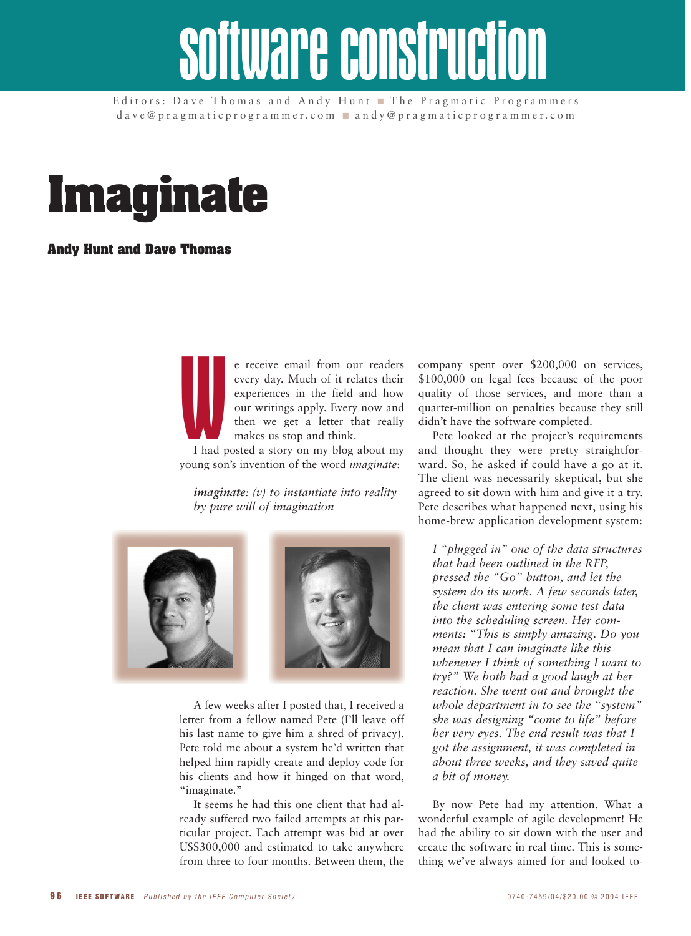# software construct

Editors: Dave Thomas and Andy Hunt ■ The Pragmatic Programmers dave@pragmaticprogrammer.com ■ andy@pragmaticprogrammer.com



# **Andy Hunt and Dave Thomas**

We receive email from our readers every day. Much of it relates their experiences in the field and how our writings apply. Every now and then we get a letter that really makes us stop and think.

I had posted a story on my blog about my young son's invention of the word *imaginate*:

*imaginate: (v) to instantiate into reality by pure will of imagination*



A few weeks after I posted that, I received a letter from a fellow named Pete (I'll leave off his last name to give him a shred of privacy). Pete told me about a system he'd written that helped him rapidly create and deploy code for his clients and how it hinged on that word, "imaginate."

It seems he had this one client that had already suffered two failed attempts at this particular project. Each attempt was bid at over US\$300,000 and estimated to take anywhere from three to four months. Between them, the

company spent over \$200,000 on services, \$100,000 on legal fees because of the poor quality of those services, and more than a quarter-million on penalties because they still didn't have the software completed.

Pete looked at the project's requirements and thought they were pretty straightforward. So, he asked if could have a go at it. The client was necessarily skeptical, but she agreed to sit down with him and give it a try. Pete describes what happened next, using his home-brew application development system:

*I "plugged in" one of the data structures that had been outlined in the RFP, pressed the "Go" button, and let the system do its work. A few seconds later, the client was entering some test data into the scheduling screen. Her comments: "This is simply amazing. Do you mean that I can imaginate like this whenever I think of something I want to try?" We both had a good laugh at her reaction. She went out and brought the whole department in to see the "system" she was designing "come to life" before her very eyes. The end result was that I got the assignment, it was completed in about three weeks, and they saved quite a bit of money.*

By now Pete had my attention. What a wonderful example of agile development! He had the ability to sit down with the user and create the software in real time. This is something we've always aimed for and looked to-